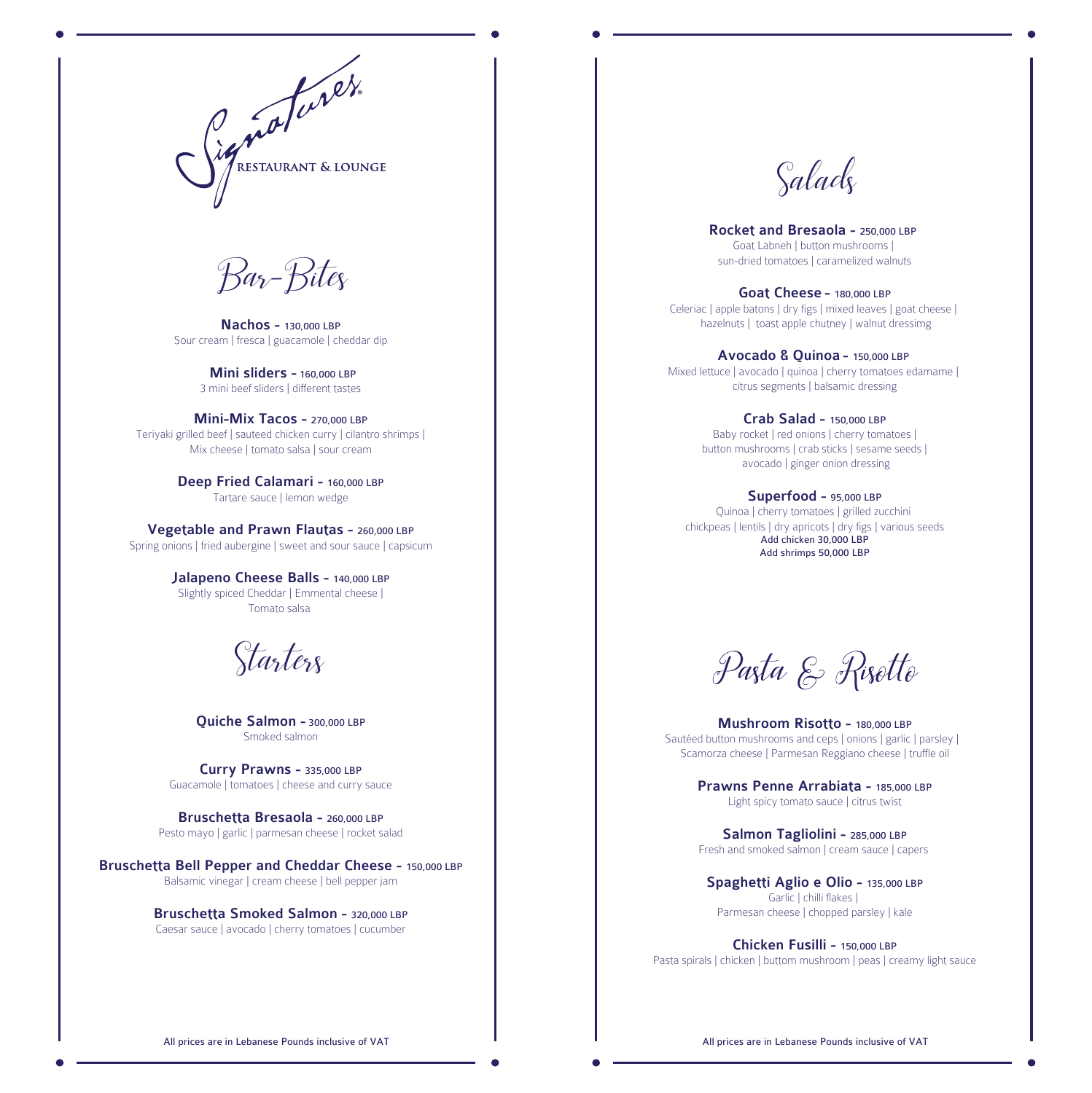

*Bar-Bites*

Nachos - 130,000 LBP Sour cream | fresca | guacamole | cheddar dip

> Mini sliders - 160,000 LBP 3 mini beef sliders | different tastes

Mini-Mix Tacos - 270,000 LBP Teriyaki grilled beef | sauteed chicken curry | cilantro shrimps | Mix cheese | tomato salsa | sour cream

> Deep Fried Calamari - 160,000 LBP Tartare sauce | lemon wedge

Vegetable and Prawn Flautas - 260,000 LBP Spring onions | fried aubergine | sweet and sour sauce | capsicum

> Jalapeno Cheese Balls - 140,000 LBP Slightly spiced Cheddar | Emmental cheese | Tomato salsa

*Starters*

Quiche Salmon - 300,000 LBP Smoked salmon

Curry Prawns - 335,000 LBP Guacamole | tomatoes | cheese and curry sauce

Bruschetta Bresaola - 260,000 LBP Pesto mayo | garlic | parmesan cheese | rocket salad

Bruschetta Bell Pepper and Cheddar Cheese - 150,000 LBP Balsamic vinegar | cream cheese | bell pepper jam

> Bruschetta Smoked Salmon - 320,000 LBP Caesar sauce | avocado | cherry tomatoes | cucumber

## *Salads*

Rocket and Bresaola - 250,000 LBP Goat Labneh | button mushrooms | sun-dried tomatoes | caramelized walnuts

Goat Cheese - 180,000 LBP Celeriac | apple batons | dry figs | mixed leaves | goat cheese | hazelnuts | toast apple chutney | walnut dressimg

Avocado & Quinoa - 150,000 LBP Mixed lettuce | avocado | quinoa | cherry tomatoes edamame | citrus segments | balsamic dressing

> Crab Salad - 150,000 LBP Baby rocket | red onions | cherry tomatoes | button mushrooms | crab sticks | sesame seeds | avocado | ginger onion dressing

Superfood - 95,000 LBP Quinoa | cherry tomatoes | grilled zucchini chickpeas | lentils | dry apricots | dry figs | various seeds Add chicken 30,000 LBP Add shrimps 50,000 LBP

Paşta & Rişette

Mushroom Risotto - 180,000 LBP Sautéed button mushrooms and ceps | onions | garlic | parsley | Scamorza cheese | Parmesan Reggiano cheese | truffle oil

> Prawns Penne Arrabiata - 185,000 LBP Light spicy tomato sauce | citrus twist

Salmon Tagliolini - 285,000 LBP Fresh and smoked salmon | cream sauce | capers

Spaghetti Aglio e Olio - 135,000 LBP Garlic | chilli flakes | Parmesan cheese | chopped parsley | kale

Chicken Fusilli - 150,000 LBP Pasta spirals | chicken | buttom mushroom | peas | creamy light sauce

All prices are in Lebanese Pounds inclusive of VAT **All prices are in Lebanese Pounds inclusive of VAT** All prices are in Lebanese Pounds inclusive of VAT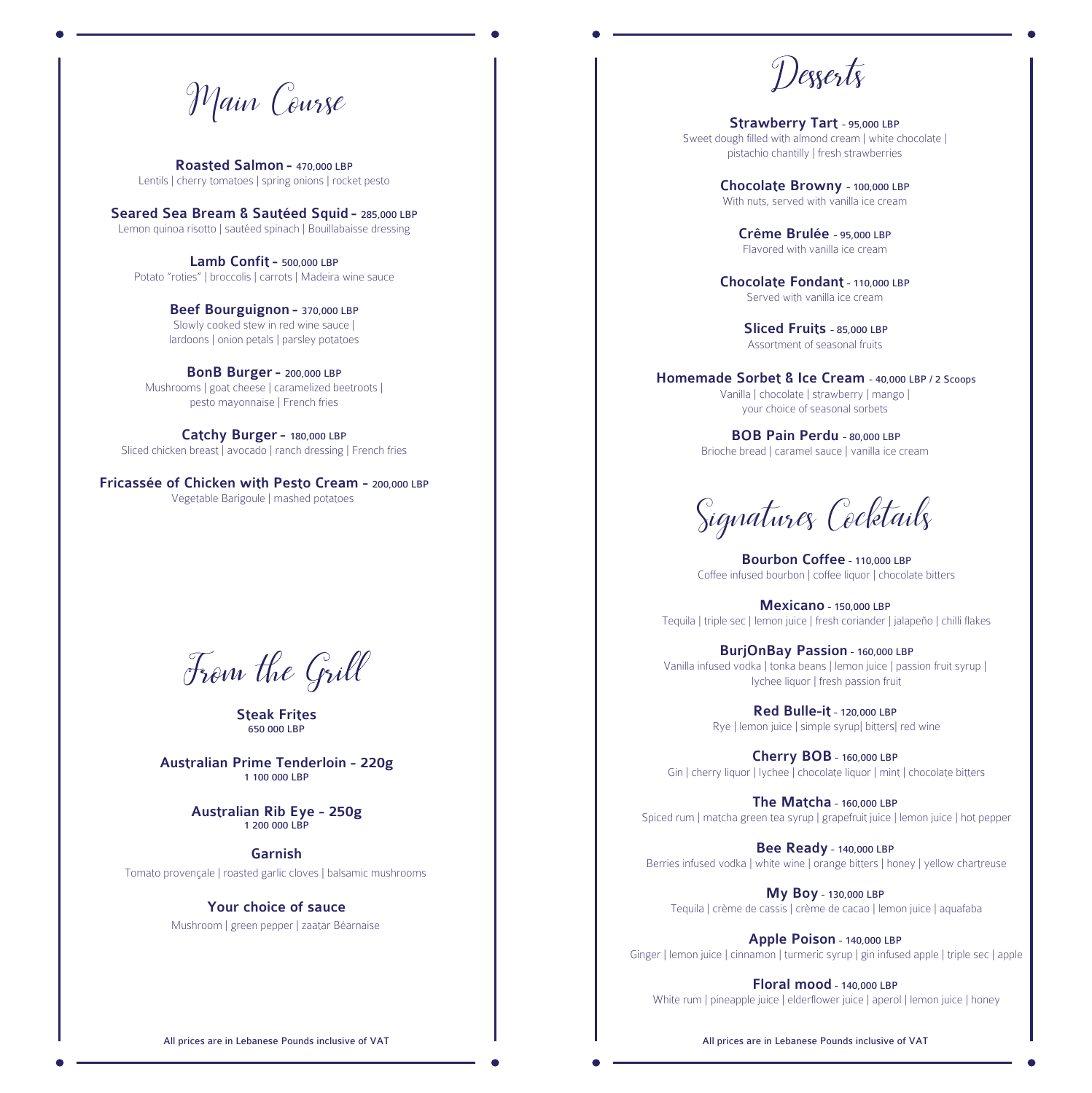*Main Course* Strawberry Tart - 95,000 LBP

Roasted Salmon - 470,000 LBP Lentils | cherry tomatoes | spring onions | rocket pesto

Seared Sea Bream & Sautéed Squid - 285,000 LBP Lemon quinoa risotto | sautéed spinach | Bouillabaisse dressing

Lamb Confit - 500,000 LBP Potato "roties" | broccolis | carrots | Madeira wine sauce

> Beef Bourguignon - 370,000 LBP Slowly cooked stew in red wine sauce | lardoons | onion petals | parsley potatoes

BonB Burger - 200,000 LBP Mushrooms | goat cheese | caramelized beetroots | pesto mayonnaise | French fries

Catchy Burger- 180,000 LBP Sliced chicken breast | avocado | ranch dressing | French fries

Fricassée of Chicken with Pesto Cream - 200,000 LBP Vegetable Barigoule | mashed potatoes

From the Grill

Steak Frites 650 000 LBP

Australian Prime Tenderloin - 220g 1 100 000 LBP

> Australian Rib Eye - 250g 1 200 000 LBP

> > Garnish

Tomato provençale | roasted garlic cloves | balsamic mushrooms

Your choice of sauce

Mushroom | green pepper | zaatar Béarnaise

Sweet dough filled with almond cream | white chocolate | pistachio chantilly | fresh strawberries

> Chocolate Browny - 100,000 LBP With nuts, served with vanilla ice cream

> > Crême Brulée - 95,000 LBP Flavored with vanilla ice cream

Chocolate Fondant - 110,000 LBP Served with vanilla ice cream

> Sliced Fruits - 85,000 LBP Assortment of seasonal fruits

Homemade Sorbet & Ice Cream - 40,000 LBP / 2 Scoops Vanilla | chocolate | strawberry | mango | your choice of seasonal sorbets

> BOB Pain Perdu - 80,000 LBP Brioche bread | caramel sauce | vanilla ice cream

*Signatures Cocktails*

Bourbon Coffee - 110,000 LBP Coffee infused bourbon | coffee liquor | chocolate bitters

Mexicano - 150,000 LBP Tequila | triple sec | lemon juice | fresh coriander | jalapeño | chilli flakes

BurjOnBay Passion - 160,000 LBP Vanilla infused vodka | tonka beans | lemon juice | passion fruit syrup | lychee liquor | fresh passion fruit

> Red Bulle-it - 120,000 LBP Rye | lemon juice | simple syrup| bitters| red wine

Cherry BOB - 160,000 LBP Gin | cherry liquor | lychee | chocolate liquor | mint | chocolate bitters

The Matcha - 160,000 LBP Spiced rum | matcha green tea syrup | grapefruit juice | lemon juice | hot pepper

Bee Ready - 140,000 LBP Berries infused vodka | white wine | orange bitters | honey | yellow chartreuse

My Boy - 130,000 LBP Tequila | crème de cassis | crème de cacao | lemon juice | aquafaba

Apple Poison - 140,000 LBP Ginger | lemon juice | cinnamon | turmeric syrup | gin infused apple | triple sec | apple

Floral mood - 140,000 LBP White rum | pineapple juice | elderflower juice | aperol | lemon juice | honey

All prices are in Lebanese Pounds inclusive of VAT **All prices are in Lebanese Pounds inclusive of VAT**